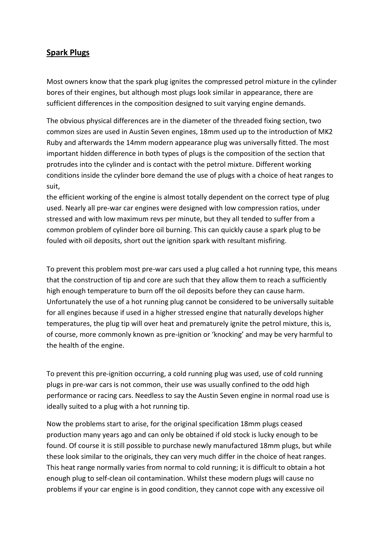## **Spark Plugs**

Most owners know that the spark plug ignites the compressed petrol mixture in the cylinder bores of their engines, but although most plugs look similar in appearance, there are sufficient differences in the composition designed to suit varying engine demands.

The obvious physical differences are in the diameter of the threaded fixing section, two common sizes are used in Austin Seven engines, 18mm used up to the introduction of MK2 Ruby and afterwards the 14mm modern appearance plug was universally fitted. The most important hidden difference in both types of plugs is the composition of the section that protrudes into the cylinder and is contact with the petrol mixture. Different working conditions inside the cylinder bore demand the use of plugs with a choice of heat ranges to suit,

the efficient working of the engine is almost totally dependent on the correct type of plug used. Nearly all pre-war car engines were designed with low compression ratios, under stressed and with low maximum revs per minute, but they all tended to suffer from a common problem of cylinder bore oil burning. This can quickly cause a spark plug to be fouled with oil deposits, short out the ignition spark with resultant misfiring.

To prevent this problem most pre-war cars used a plug called a hot running type, this means that the construction of tip and core are such that they allow them to reach a sufficiently high enough temperature to burn off the oil deposits before they can cause harm. Unfortunately the use of a hot running plug cannot be considered to be universally suitable for all engines because if used in a higher stressed engine that naturally develops higher temperatures, the plug tip will over heat and prematurely ignite the petrol mixture, this is, of course, more commonly known as pre-ignition or 'knocking' and may be very harmful to the health of the engine.

To prevent this pre-ignition occurring, a cold running plug was used, use of cold running plugs in pre-war cars is not common, their use was usually confined to the odd high performance or racing cars. Needless to say the Austin Seven engine in normal road use is ideally suited to a plug with a hot running tip.

Now the problems start to arise, for the original specification 18mm plugs ceased production many years ago and can only be obtained if old stock is lucky enough to be found. Of course it is still possible to purchase newly manufactured 18mm plugs, but while these look similar to the originals, they can very much differ in the choice of heat ranges. This heat range normally varies from normal to cold running; it is difficult to obtain a hot enough plug to self-clean oil contamination. Whilst these modern plugs will cause no problems if your car engine is in good condition, they cannot cope with any excessive oil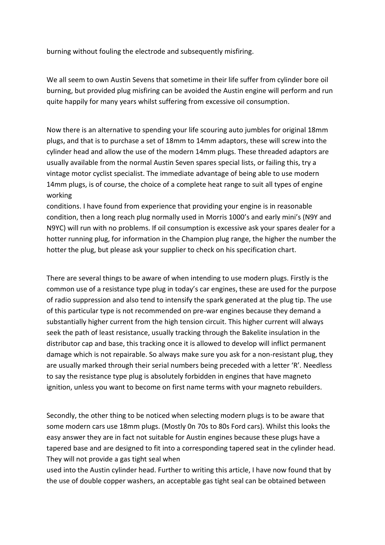burning without fouling the electrode and subsequently misfiring.

We all seem to own Austin Sevens that sometime in their life suffer from cylinder bore oil burning, but provided plug misfiring can be avoided the Austin engine will perform and run quite happily for many years whilst suffering from excessive oil consumption.

Now there is an alternative to spending your life scouring auto jumbles for original 18mm plugs, and that is to purchase a set of 18mm to 14mm adaptors, these will screw into the cylinder head and allow the use of the modern 14mm plugs. These threaded adaptors are usually available from the normal Austin Seven spares special lists, or failing this, try a vintage motor cyclist specialist. The immediate advantage of being able to use modern 14mm plugs, is of course, the choice of a complete heat range to suit all types of engine working

conditions. I have found from experience that providing your engine is in reasonable condition, then a long reach plug normally used in Morris 1000's and early mini's (N9Y and N9YC) will run with no problems. If oil consumption is excessive ask your spares dealer for a hotter running plug, for information in the Champion plug range, the higher the number the hotter the plug, but please ask your supplier to check on his specification chart.

There are several things to be aware of when intending to use modern plugs. Firstly is the common use of a resistance type plug in today's car engines, these are used for the purpose of radio suppression and also tend to intensify the spark generated at the plug tip. The use of this particular type is not recommended on pre-war engines because they demand a substantially higher current from the high tension circuit. This higher current will always seek the path of least resistance, usually tracking through the Bakelite insulation in the distributor cap and base, this tracking once it is allowed to develop will inflict permanent damage which is not repairable. So always make sure you ask for a non-resistant plug, they are usually marked through their serial numbers being preceded with a letter 'R'. Needless to say the resistance type plug is absolutely forbidden in engines that have magneto ignition, unless you want to become on first name terms with your magneto rebuilders.

Secondly, the other thing to be noticed when selecting modern plugs is to be aware that some modern cars use 18mm plugs. (Mostly 0n 70s to 80s Ford cars). Whilst this looks the easy answer they are in fact not suitable for Austin engines because these plugs have a tapered base and are designed to fit into a corresponding tapered seat in the cylinder head. They will not provide a gas tight seal when

used into the Austin cylinder head. Further to writing this article, I have now found that by the use of double copper washers, an acceptable gas tight seal can be obtained between